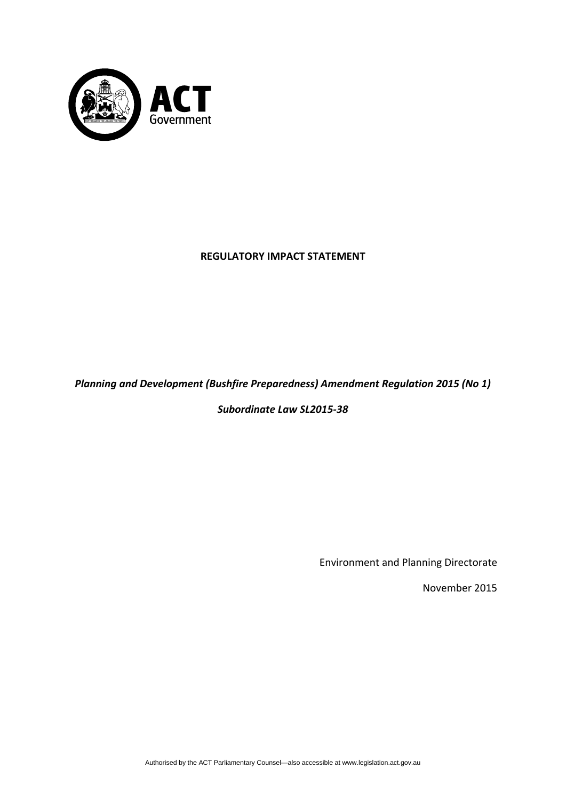

# **REGULATORY IMPACT STATEMENT**

# *Planning and Development (Bushfire Preparedness) Amendment Regulation 2015 (No 1)*

*Subordinate Law SL2015‐38*

Environment and Planning Directorate

November 2015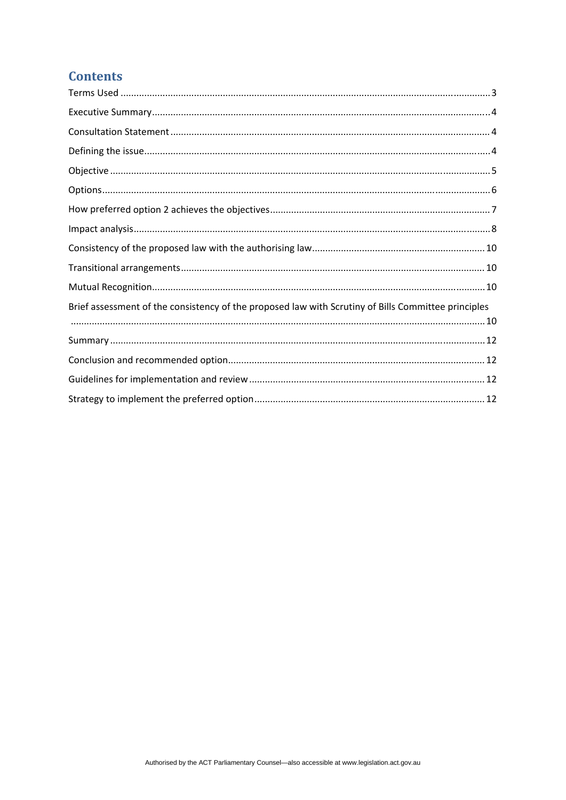# **Contents**

| Brief assessment of the consistency of the proposed law with Scrutiny of Bills Committee principles |  |
|-----------------------------------------------------------------------------------------------------|--|
|                                                                                                     |  |
|                                                                                                     |  |
|                                                                                                     |  |
|                                                                                                     |  |
|                                                                                                     |  |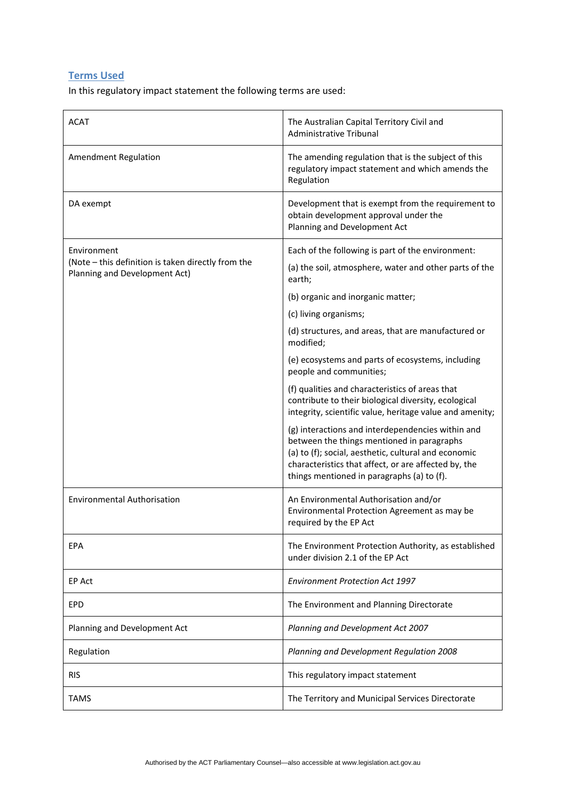# <span id="page-2-0"></span>**Terms Used**

In this regulatory impact statement the following terms are used:

| <b>ACAT</b>                                                                         | The Australian Capital Territory Civil and<br>Administrative Tribunal                                                                                                                                                                                         |
|-------------------------------------------------------------------------------------|---------------------------------------------------------------------------------------------------------------------------------------------------------------------------------------------------------------------------------------------------------------|
| <b>Amendment Regulation</b>                                                         | The amending regulation that is the subject of this<br>regulatory impact statement and which amends the<br>Regulation                                                                                                                                         |
| DA exempt                                                                           | Development that is exempt from the requirement to<br>obtain development approval under the<br>Planning and Development Act                                                                                                                                   |
| Environment                                                                         | Each of the following is part of the environment:                                                                                                                                                                                                             |
| (Note - this definition is taken directly from the<br>Planning and Development Act) | (a) the soil, atmosphere, water and other parts of the<br>earth;                                                                                                                                                                                              |
|                                                                                     | (b) organic and inorganic matter;                                                                                                                                                                                                                             |
|                                                                                     | (c) living organisms;                                                                                                                                                                                                                                         |
|                                                                                     | (d) structures, and areas, that are manufactured or<br>modified;                                                                                                                                                                                              |
|                                                                                     | (e) ecosystems and parts of ecosystems, including<br>people and communities;                                                                                                                                                                                  |
|                                                                                     | (f) qualities and characteristics of areas that<br>contribute to their biological diversity, ecological<br>integrity, scientific value, heritage value and amenity;                                                                                           |
|                                                                                     | (g) interactions and interdependencies within and<br>between the things mentioned in paragraphs<br>(a) to (f); social, aesthetic, cultural and economic<br>characteristics that affect, or are affected by, the<br>things mentioned in paragraphs (a) to (f). |
| <b>Environmental Authorisation</b>                                                  | An Environmental Authorisation and/or<br>Environmental Protection Agreement as may be<br>required by the EP Act                                                                                                                                               |
| EPA                                                                                 | The Environment Protection Authority, as established<br>under division 2.1 of the EP Act                                                                                                                                                                      |
| EP Act                                                                              | <b>Environment Protection Act 1997</b>                                                                                                                                                                                                                        |
| <b>EPD</b>                                                                          | The Environment and Planning Directorate                                                                                                                                                                                                                      |
| Planning and Development Act                                                        | Planning and Development Act 2007                                                                                                                                                                                                                             |
| Regulation                                                                          | Planning and Development Regulation 2008                                                                                                                                                                                                                      |
| <b>RIS</b>                                                                          | This regulatory impact statement                                                                                                                                                                                                                              |
| <b>TAMS</b>                                                                         | The Territory and Municipal Services Directorate                                                                                                                                                                                                              |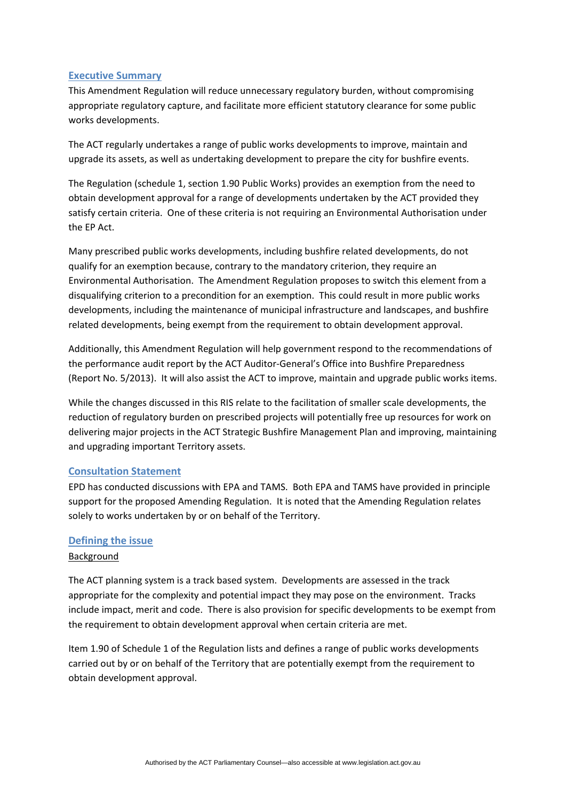#### <span id="page-3-0"></span>**Executive Summary**

This Amendment Regulation will reduce unnecessary regulatory burden, without compromising appropriate regulatory capture, and facilitate more efficient statutory clearance for some public works developments.

The ACT regularly undertakes a range of public works developments to improve, maintain and upgrade its assets, as well as undertaking development to prepare the city for bushfire events.

The Regulation (schedule 1, section 1.90 Public Works) provides an exemption from the need to obtain development approval for a range of developments undertaken by the ACT provided they satisfy certain criteria. One of these criteria is not requiring an Environmental Authorisation under the EP Act.

Many prescribed public works developments, including bushfire related developments, do not qualify for an exemption because, contrary to the mandatory criterion, they require an Environmental Authorisation. The Amendment Regulation proposes to switch this element from a disqualifying criterion to a precondition for an exemption. This could result in more public works developments, including the maintenance of municipal infrastructure and landscapes, and bushfire related developments, being exempt from the requirement to obtain development approval.

Additionally, this Amendment Regulation will help government respond to the recommendations of the performance audit report by the ACT Auditor‐General's Office into Bushfire Preparedness (Report No. 5/2013). It will also assist the ACT to improve, maintain and upgrade public works items.

While the changes discussed in this RIS relate to the facilitation of smaller scale developments, the reduction of regulatory burden on prescribed projects will potentially free up resources for work on delivering major projects in the ACT Strategic Bushfire Management Plan and improving, maintaining and upgrading important Territory assets.

## <span id="page-3-1"></span>**Consultation Statement**

EPD has conducted discussions with EPA and TAMS. Both EPA and TAMS have provided in principle support for the proposed Amending Regulation. It is noted that the Amending Regulation relates solely to works undertaken by or on behalf of the Territory.

#### <span id="page-3-2"></span>**Defining the issue**

#### Background

The ACT planning system is a track based system. Developments are assessed in the track appropriate for the complexity and potential impact they may pose on the environment. Tracks include impact, merit and code. There is also provision for specific developments to be exempt from the requirement to obtain development approval when certain criteria are met.

Item 1.90 of Schedule 1 of the Regulation lists and defines a range of public works developments carried out by or on behalf of the Territory that are potentially exempt from the requirement to obtain development approval.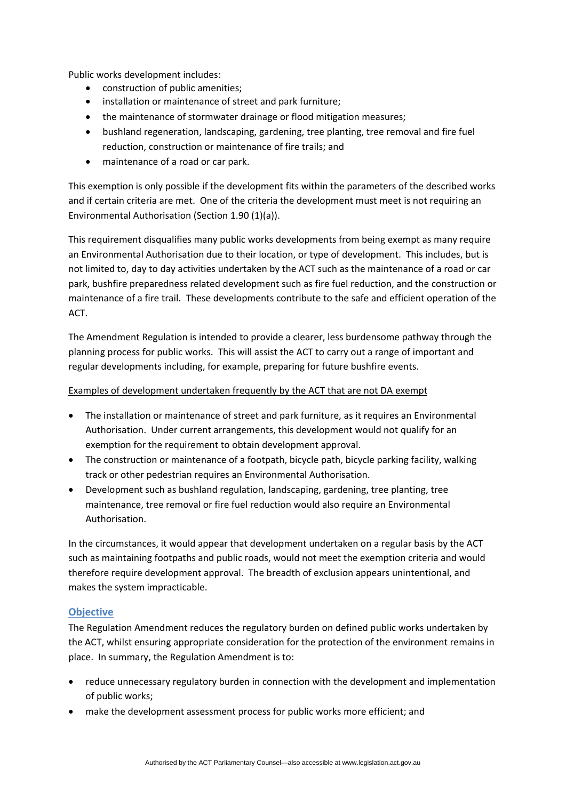Public works development includes:

- construction of public amenities;
- installation or maintenance of street and park furniture;
- the maintenance of stormwater drainage or flood mitigation measures;
- bushland regeneration, landscaping, gardening, tree planting, tree removal and fire fuel reduction, construction or maintenance of fire trails; and
- maintenance of a road or car park.

This exemption is only possible if the development fits within the parameters of the described works and if certain criteria are met. One of the criteria the development must meet is not requiring an Environmental Authorisation (Section 1.90 (1)(a)).

This requirement disqualifies many public works developments from being exempt as many require an Environmental Authorisation due to their location, or type of development. This includes, but is not limited to, day to day activities undertaken by the ACT such as the maintenance of a road or car park, bushfire preparedness related development such as fire fuel reduction, and the construction or maintenance of a fire trail. These developments contribute to the safe and efficient operation of the ACT.

The Amendment Regulation is intended to provide a clearer, less burdensome pathway through the planning process for public works. This will assist the ACT to carry out a range of important and regular developments including, for example, preparing for future bushfire events.

#### Examples of development undertaken frequently by the ACT that are not DA exempt

- The installation or maintenance of street and park furniture, as it requires an Environmental Authorisation. Under current arrangements, this development would not qualify for an exemption for the requirement to obtain development approval.
- The construction or maintenance of a footpath, bicycle path, bicycle parking facility, walking track or other pedestrian requires an Environmental Authorisation.
- Development such as bushland regulation, landscaping, gardening, tree planting, tree maintenance, tree removal or fire fuel reduction would also require an Environmental Authorisation.

In the circumstances, it would appear that development undertaken on a regular basis by the ACT such as maintaining footpaths and public roads, would not meet the exemption criteria and would therefore require development approval. The breadth of exclusion appears unintentional, and makes the system impracticable.

#### <span id="page-4-0"></span>**Objective**

The Regulation Amendment reduces the regulatory burden on defined public works undertaken by the ACT, whilst ensuring appropriate consideration for the protection of the environment remains in place. In summary, the Regulation Amendment is to:

- reduce unnecessary regulatory burden in connection with the development and implementation of public works;
- make the development assessment process for public works more efficient; and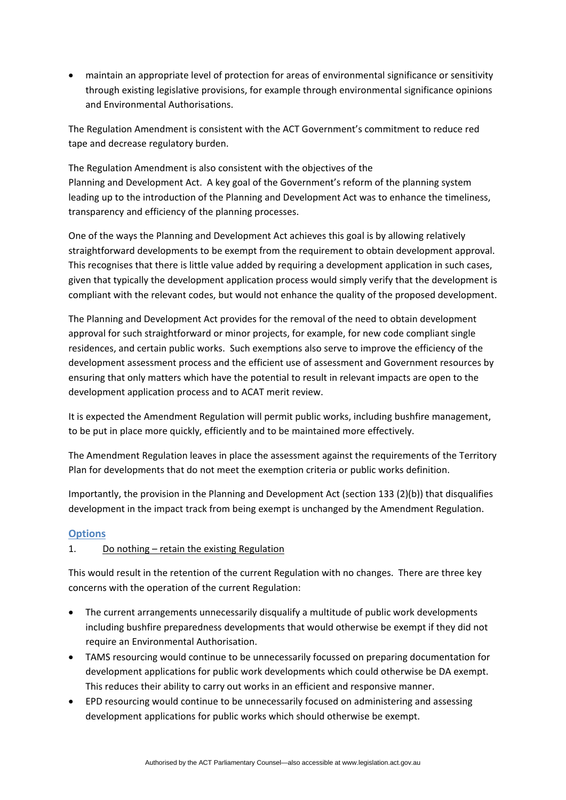maintain an appropriate level of protection for areas of environmental significance or sensitivity through existing legislative provisions, for example through environmental significance opinions and Environmental Authorisations.

The Regulation Amendment is consistent with the ACT Government's commitment to reduce red tape and decrease regulatory burden.

The Regulation Amendment is also consistent with the objectives of the Planning and Development Act. A key goal of the Government's reform of the planning system leading up to the introduction of the Planning and Development Act was to enhance the timeliness, transparency and efficiency of the planning processes.

One of the ways the Planning and Development Act achieves this goal is by allowing relatively straightforward developments to be exempt from the requirement to obtain development approval. This recognises that there is little value added by requiring a development application in such cases, given that typically the development application process would simply verify that the development is compliant with the relevant codes, but would not enhance the quality of the proposed development.

The Planning and Development Act provides for the removal of the need to obtain development approval for such straightforward or minor projects, for example, for new code compliant single residences, and certain public works. Such exemptions also serve to improve the efficiency of the development assessment process and the efficient use of assessment and Government resources by ensuring that only matters which have the potential to result in relevant impacts are open to the development application process and to ACAT merit review.

It is expected the Amendment Regulation will permit public works, including bushfire management, to be put in place more quickly, efficiently and to be maintained more effectively.

The Amendment Regulation leaves in place the assessment against the requirements of the Territory Plan for developments that do not meet the exemption criteria or public works definition.

Importantly, the provision in the Planning and Development Act (section 133 (2)(b)) that disqualifies development in the impact track from being exempt is unchanged by the Amendment Regulation.

## <span id="page-5-0"></span>**Options**

## 1. Do nothing – retain the existing Regulation

This would result in the retention of the current Regulation with no changes. There are three key concerns with the operation of the current Regulation:

- The current arrangements unnecessarily disqualify a multitude of public work developments including bushfire preparedness developments that would otherwise be exempt if they did not require an Environmental Authorisation.
- TAMS resourcing would continue to be unnecessarily focussed on preparing documentation for development applications for public work developments which could otherwise be DA exempt. This reduces their ability to carry out works in an efficient and responsive manner.
- EPD resourcing would continue to be unnecessarily focused on administering and assessing development applications for public works which should otherwise be exempt.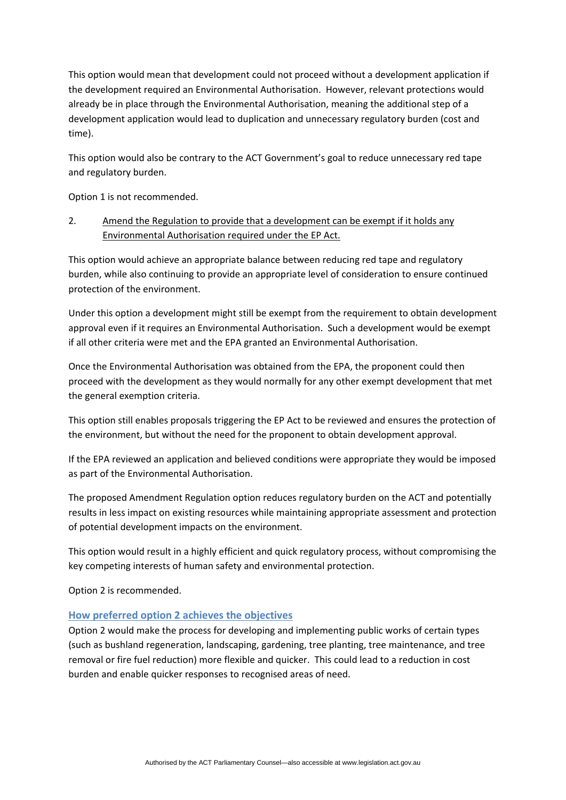This option would mean that development could not proceed without a development application if the development required an Environmental Authorisation. However, relevant protections would already be in place through the Environmental Authorisation, meaning the additional step of a development application would lead to duplication and unnecessary regulatory burden (cost and time).

This option would also be contrary to the ACT Government's goal to reduce unnecessary red tape and regulatory burden.

Option 1 is not recommended.

# 2. Amend the Regulation to provide that a development can be exempt if it holds any Environmental Authorisation required under the EP Act.

This option would achieve an appropriate balance between reducing red tape and regulatory burden, while also continuing to provide an appropriate level of consideration to ensure continued protection of the environment.

Under this option a development might still be exempt from the requirement to obtain development approval even if it requires an Environmental Authorisation. Such a development would be exempt if all other criteria were met and the EPA granted an Environmental Authorisation.

Once the Environmental Authorisation was obtained from the EPA, the proponent could then proceed with the development as they would normally for any other exempt development that met the general exemption criteria.

This option still enables proposals triggering the EP Act to be reviewed and ensures the protection of the environment, but without the need for the proponent to obtain development approval.

If the EPA reviewed an application and believed conditions were appropriate they would be imposed as part of the Environmental Authorisation.

The proposed Amendment Regulation option reduces regulatory burden on the ACT and potentially results in less impact on existing resources while maintaining appropriate assessment and protection of potential development impacts on the environment.

This option would result in a highly efficient and quick regulatory process, without compromising the key competing interests of human safety and environmental protection.

Option 2 is recommended.

## <span id="page-6-0"></span>**How preferred option 2 achieves the objectives**

Option 2 would make the process for developing and implementing public works of certain types (such as bushland regeneration, landscaping, gardening, tree planting, tree maintenance, and tree removal or fire fuel reduction) more flexible and quicker. This could lead to a reduction in cost burden and enable quicker responses to recognised areas of need.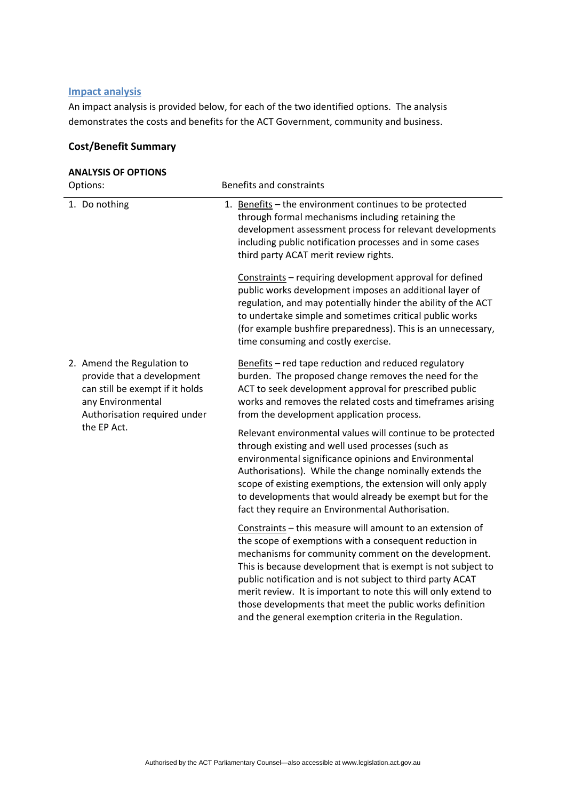# <span id="page-7-0"></span>**Impact analysis**

An impact analysis is provided below, for each of the two identified options. The analysis demonstrates the costs and benefits for the ACT Government, community and business.

#### **Cost/Benefit Summary**

| <b>ANALYSIS OF OPTIONS</b>                                                                                                                                      |                                                                                                                                                                                                                                                                                                                                                                                                                                                                                                  |  |  |  |
|-----------------------------------------------------------------------------------------------------------------------------------------------------------------|--------------------------------------------------------------------------------------------------------------------------------------------------------------------------------------------------------------------------------------------------------------------------------------------------------------------------------------------------------------------------------------------------------------------------------------------------------------------------------------------------|--|--|--|
| Options:                                                                                                                                                        | <b>Benefits and constraints</b>                                                                                                                                                                                                                                                                                                                                                                                                                                                                  |  |  |  |
| 1. Do nothing                                                                                                                                                   | 1. Benefits - the environment continues to be protected<br>through formal mechanisms including retaining the<br>development assessment process for relevant developments<br>including public notification processes and in some cases<br>third party ACAT merit review rights.                                                                                                                                                                                                                   |  |  |  |
|                                                                                                                                                                 | Constraints - requiring development approval for defined<br>public works development imposes an additional layer of<br>regulation, and may potentially hinder the ability of the ACT<br>to undertake simple and sometimes critical public works<br>(for example bushfire preparedness). This is an unnecessary,<br>time consuming and costly exercise.                                                                                                                                           |  |  |  |
| 2. Amend the Regulation to<br>provide that a development<br>can still be exempt if it holds<br>any Environmental<br>Authorisation required under<br>the EP Act. | Benefits - red tape reduction and reduced regulatory<br>burden. The proposed change removes the need for the<br>ACT to seek development approval for prescribed public<br>works and removes the related costs and timeframes arising<br>from the development application process.                                                                                                                                                                                                                |  |  |  |
|                                                                                                                                                                 | Relevant environmental values will continue to be protected<br>through existing and well used processes (such as<br>environmental significance opinions and Environmental<br>Authorisations). While the change nominally extends the<br>scope of existing exemptions, the extension will only apply<br>to developments that would already be exempt but for the<br>fact they require an Environmental Authorisation.                                                                             |  |  |  |
|                                                                                                                                                                 | Constraints - this measure will amount to an extension of<br>the scope of exemptions with a consequent reduction in<br>mechanisms for community comment on the development.<br>This is because development that is exempt is not subject to<br>public notification and is not subject to third party ACAT<br>merit review. It is important to note this will only extend to<br>those developments that meet the public works definition<br>and the general exemption criteria in the Regulation. |  |  |  |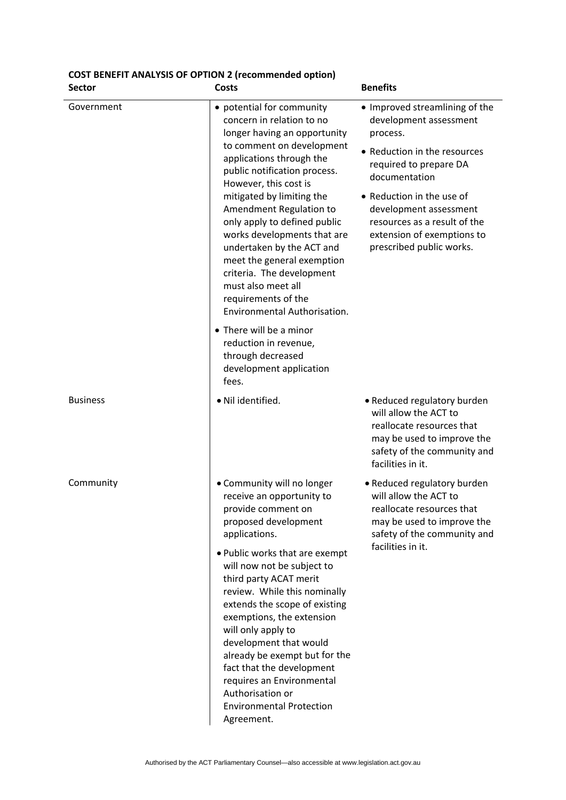# **COST BENEFIT ANALYSIS OF OPTION 2 (recommended option)**

| <b>Sector</b>   | <b>Costs</b>                                                                                                                                                                                                                                                                                                                                                                                                                                                                                         | <b>Benefits</b>                                                                                                                                                                                                                                                                                  |
|-----------------|------------------------------------------------------------------------------------------------------------------------------------------------------------------------------------------------------------------------------------------------------------------------------------------------------------------------------------------------------------------------------------------------------------------------------------------------------------------------------------------------------|--------------------------------------------------------------------------------------------------------------------------------------------------------------------------------------------------------------------------------------------------------------------------------------------------|
| Government      | • potential for community<br>concern in relation to no<br>longer having an opportunity<br>to comment on development<br>applications through the<br>public notification process.<br>However, this cost is<br>mitigated by limiting the<br>Amendment Regulation to<br>only apply to defined public<br>works developments that are<br>undertaken by the ACT and<br>meet the general exemption<br>criteria. The development<br>must also meet all<br>requirements of the<br>Environmental Authorisation. | • Improved streamlining of the<br>development assessment<br>process.<br>• Reduction in the resources<br>required to prepare DA<br>documentation<br>• Reduction in the use of<br>development assessment<br>resources as a result of the<br>extension of exemptions to<br>prescribed public works. |
|                 | • There will be a minor<br>reduction in revenue,<br>through decreased<br>development application<br>fees.                                                                                                                                                                                                                                                                                                                                                                                            |                                                                                                                                                                                                                                                                                                  |
| <b>Business</b> | · Nil identified.                                                                                                                                                                                                                                                                                                                                                                                                                                                                                    | • Reduced regulatory burden<br>will allow the ACT to<br>reallocate resources that<br>may be used to improve the<br>safety of the community and<br>facilities in it.                                                                                                                              |
| Community       | • Community will no longer<br>receive an opportunity to<br>provide comment on<br>proposed development<br>applications.                                                                                                                                                                                                                                                                                                                                                                               | • Reduced regulatory burden<br>will allow the ACT to<br>reallocate resources that<br>may be used to improve the<br>safety of the community and<br>facilities in it.                                                                                                                              |
|                 | . Public works that are exempt<br>will now not be subject to<br>third party ACAT merit<br>review. While this nominally<br>extends the scope of existing<br>exemptions, the extension<br>will only apply to<br>development that would<br>already be exempt but for the<br>fact that the development<br>requires an Environmental<br>Authorisation or<br><b>Environmental Protection</b><br>Agreement.                                                                                                 |                                                                                                                                                                                                                                                                                                  |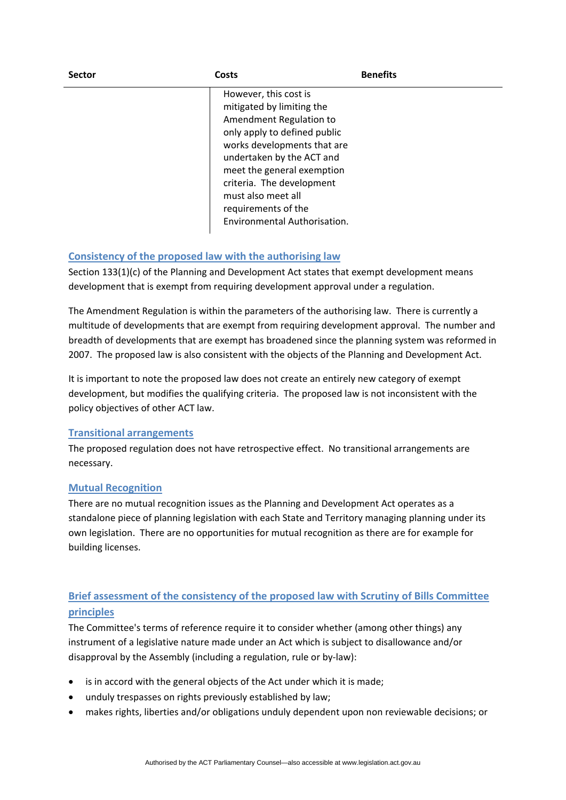| <b>Sector</b> | Costs                                                                                                                                                                                                                                                                                                             | <b>Benefits</b> |
|---------------|-------------------------------------------------------------------------------------------------------------------------------------------------------------------------------------------------------------------------------------------------------------------------------------------------------------------|-----------------|
|               | However, this cost is<br>mitigated by limiting the<br>Amendment Regulation to<br>only apply to defined public<br>works developments that are<br>undertaken by the ACT and<br>meet the general exemption<br>criteria. The development<br>must also meet all<br>requirements of the<br>Environmental Authorisation. |                 |

# <span id="page-9-0"></span>**Consistency of the proposed law with the authorising law**

Section 133(1)(c) of the Planning and Development Act states that exempt development means development that is exempt from requiring development approval under a regulation.

The Amendment Regulation is within the parameters of the authorising law. There is currently a multitude of developments that are exempt from requiring development approval. The number and breadth of developments that are exempt has broadened since the planning system was reformed in 2007. The proposed law is also consistent with the objects of the Planning and Development Act.

It is important to note the proposed law does not create an entirely new category of exempt development, but modifies the qualifying criteria. The proposed law is not inconsistent with the policy objectives of other ACT law.

## <span id="page-9-1"></span>**Transitional arrangements**

The proposed regulation does not have retrospective effect. No transitional arrangements are necessary.

## <span id="page-9-2"></span>**Mutual Recognition**

There are no mutual recognition issues as the Planning and Development Act operates as a standalone piece of planning legislation with each State and Territory managing planning under its own legislation. There are no opportunities for mutual recognition as there are for example for building licenses.

# <span id="page-9-3"></span>**Brief assessment of the consistency of the proposed law with Scrutiny of Bills Committee principles**

The Committee's terms of reference require it to consider whether (among other things) any instrument of a legislative nature made under an Act which is subject to disallowance and/or disapproval by the Assembly (including a regulation, rule or by‐law):

- is in accord with the general objects of the Act under which it is made;
- unduly trespasses on rights previously established by law;
- makes rights, liberties and/or obligations unduly dependent upon non reviewable decisions; or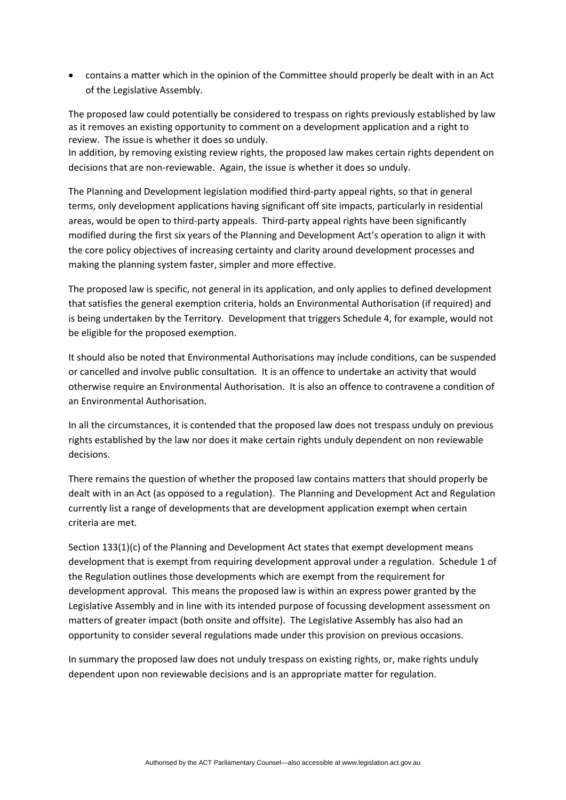contains a matter which in the opinion of the Committee should properly be dealt with in an Act of the Legislative Assembly.

The proposed law could potentially be considered to trespass on rights previously established by law as it removes an existing opportunity to comment on a development application and a right to review. The issue is whether it does so unduly.

In addition, by removing existing review rights, the proposed law makes certain rights dependent on decisions that are non‐reviewable. Again, the issue is whether it does so unduly.

The Planning and Development legislation modified third‐party appeal rights, so that in general terms, only development applications having significant off site impacts, particularly in residential areas, would be open to third-party appeals. Third-party appeal rights have been significantly modified during the first six years of the Planning and Development Act's operation to align it with the core policy objectives of increasing certainty and clarity around development processes and making the planning system faster, simpler and more effective.

The proposed law is specific, not general in its application, and only applies to defined development that satisfies the general exemption criteria, holds an Environmental Authorisation (if required) and is being undertaken by the Territory. Development that triggers Schedule 4, for example, would not be eligible for the proposed exemption.

It should also be noted that Environmental Authorisations may include conditions, can be suspended or cancelled and involve public consultation. It is an offence to undertake an activity that would otherwise require an Environmental Authorisation. It is also an offence to contravene a condition of an Environmental Authorisation.

In all the circumstances, it is contended that the proposed law does not trespass unduly on previous rights established by the law nor does it make certain rights unduly dependent on non reviewable decisions.

There remains the question of whether the proposed law contains matters that should properly be dealt with in an Act (as opposed to a regulation). The Planning and Development Act and Regulation currently list a range of developments that are development application exempt when certain criteria are met.

Section 133(1)(c) of the Planning and Development Act states that exempt development means development that is exempt from requiring development approval under a regulation. Schedule 1 of the Regulation outlines those developments which are exempt from the requirement for development approval. This means the proposed law is within an express power granted by the Legislative Assembly and in line with its intended purpose of focussing development assessment on matters of greater impact (both onsite and offsite). The Legislative Assembly has also had an opportunity to consider several regulations made under this provision on previous occasions.

In summary the proposed law does not unduly trespass on existing rights, or, make rights unduly dependent upon non reviewable decisions and is an appropriate matter for regulation.